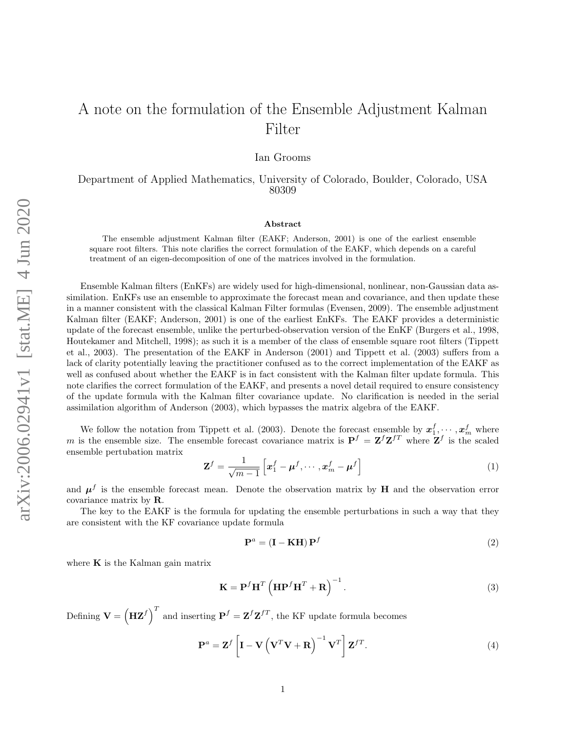Ian Grooms

Department of Applied Mathematics, University of Colorado, Boulder, Colorado, USA 80309

## Abstract

The ensemble adjustment Kalman filter (EAKF; Anderson, 2001) is one of the earliest ensemble square root filters. This note clarifies the correct formulation of the EAKF, which depends on a careful treatment of an eigen-decomposition of one of the matrices involved in the formulation.

Ensemble Kalman filters (EnKFs) are widely used for high-dimensional, nonlinear, non-Gaussian data assimilation. EnKFs use an ensemble to approximate the forecast mean and covariance, and then update these in a manner consistent with the classical Kalman Filter formulas [\(Evensen,](#page-2-0) [2009\)](#page-2-0). The ensemble adjustment Kalman filter (EAKF; [Anderson,](#page-2-1) [2001\)](#page-2-1) is one of the earliest EnKFs. The EAKF provides a deterministic update of the forecast ensemble, unlike the perturbed-observation version of the EnKF [\(Burgers et al.,](#page-2-2) [1998,](#page-2-2) [Houtekamer and Mitchell,](#page-2-3) [1998\)](#page-2-3); as such it is a member of the class of ensemble square root filters [\(Tippett](#page-2-4) [et al.,](#page-2-4) [2003\)](#page-2-4). The presentation of the EAKF in [Anderson](#page-2-1) [\(2001\)](#page-2-1) and [Tippett et al.](#page-2-4) [\(2003\)](#page-2-4) suffers from a lack of clarity potentially leaving the practitioner confused as to the correct implementation of the EAKF as well as confused about whether the EAKF is in fact consistent with the Kalman filter update formula. This note clarifies the correct formulation of the EAKF, and presents a novel detail required to ensure consistency of the update formula with the Kalman filter covariance update. No clarification is needed in the serial assimilation algorithm of [Anderson](#page-2-5) [\(2003\)](#page-2-5), which bypasses the matrix algebra of the EAKF.

We follow the notation from [Tippett et al.](#page-2-4) [\(2003\)](#page-2-4). Denote the forecast ensemble by  $x_1^f, \dots, x_m^f$  where m is the ensemble size. The ensemble forecast covariance matrix is  $P^f = Z^f Z^{fT}$  where  $Z^f$  is the scaled ensemble pertubation matrix

$$
\mathbf{Z}^{f} = \frac{1}{\sqrt{m-1}} \left[ \boldsymbol{x}_{1}^{f} - \boldsymbol{\mu}^{f}, \cdots, \boldsymbol{x}_{m}^{f} - \boldsymbol{\mu}^{f} \right]
$$
(1)

and  $\mu^f$  is the ensemble forecast mean. Denote the observation matrix by H and the observation error covariance matrix by R.

The key to the EAKF is the formula for updating the ensemble perturbations in such a way that they are consistent with the KF covariance update formula

<span id="page-0-0"></span>
$$
\mathbf{P}^a = (\mathbf{I} - \mathbf{KH}) \mathbf{P}^f \tag{2}
$$

where  $\bf{K}$  is the Kalman gain matrix

$$
\mathbf{K} = \mathbf{P}^f \mathbf{H}^T \left( \mathbf{H} \mathbf{P}^f \mathbf{H}^T + \mathbf{R} \right)^{-1}.
$$
 (3)

Defining  $\mathbf{V} = \left(\mathbf{H}\mathbf{Z}^f\right)^T$  and inserting  $\mathbf{P}^f = \mathbf{Z}^f\mathbf{Z}^{fT}$ , the KF update formula becomes

$$
\mathbf{P}^{a} = \mathbf{Z}^{f} \left[ \mathbf{I} - \mathbf{V} \left( \mathbf{V}^{T} \mathbf{V} + \mathbf{R} \right)^{-1} \mathbf{V}^{T} \right] \mathbf{Z}^{fT}.
$$
 (4)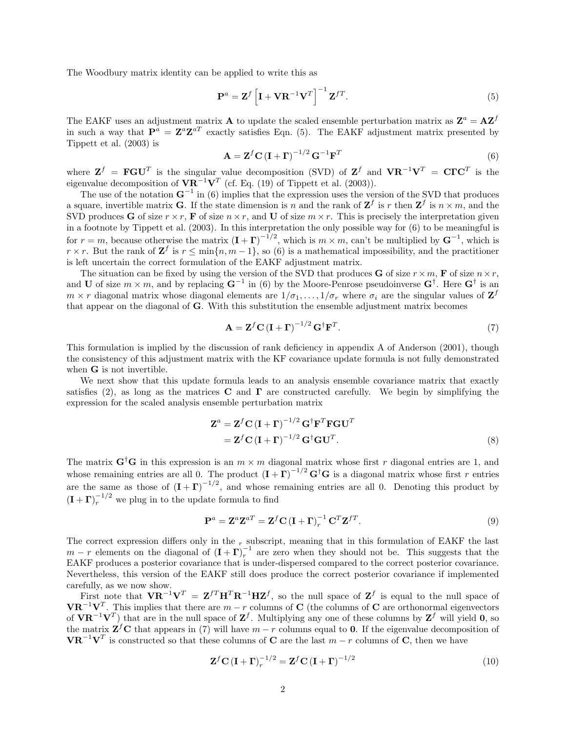The Woodbury matrix identity can be applied to write this as

<span id="page-1-0"></span>
$$
\mathbf{P}^{a} = \mathbf{Z}^{f} \left[ \mathbf{I} + \mathbf{V} \mathbf{R}^{-1} \mathbf{V}^{T} \right]^{-1} \mathbf{Z}^{fT}.
$$
 (5)

The EAKF uses an adjustment matrix **A** to update the scaled ensemble perturbation matrix as  $\mathbf{Z}^a = \mathbf{A}\mathbf{Z}^f$ in such a way that  $\mathbf{P}^{a} = \mathbf{Z}^{a} \mathbf{Z}^{aT}$  exactly satisfies Eqn. [\(5\)](#page-1-0). The EAKF adjustment matrix presented by [Tippett et al.](#page-2-4) [\(2003\)](#page-2-4) is

<span id="page-1-1"></span>
$$
\mathbf{A} = \mathbf{Z}^f \mathbf{C} \left( \mathbf{I} + \mathbf{\Gamma} \right)^{-1/2} \mathbf{G}^{-1} \mathbf{F}^T
$$
\n(6)

where  $\mathbf{Z}^f = \mathbf{FGU}^T$  is the singular value decomposition (SVD) of  $\mathbf{Z}^f$  and  $\mathbf{VR}^{-1}\mathbf{V}^T = \mathbf{C}\mathbf{TC}^T$  is the eigenvalue decomposition of  $\mathbf{VR}^{-1}\mathbf{V}^T$  (cf. Eq. (19) of [Tippett et al.](#page-2-4) [\(2003\)](#page-2-4)).

The use of the notation  $G^{-1}$  in [\(6\)](#page-1-1) implies that the expression uses the version of the SVD that produces a square, invertible matrix **G**. If the state dimension is n and the rank of  $\mathbf{Z}^f$  is r then  $\mathbf{Z}^f$  is  $n \times m$ , and the SVD produces G of size  $r \times r$ , F of size  $n \times r$ , and U of size  $m \times r$ . This is precisely the interpretation given in a footnote by [Tippett et al.](#page-2-4) [\(2003\)](#page-2-4). In this interpretation the only possible way for [\(6\)](#page-1-1) to be meaningful is for  $r = m$ , because otherwise the matrix  $(I + \Gamma)^{-1/2}$ , which is  $m \times m$ , can't be multiplied by  $G^{-1}$ , which is  $r \times r$ . But the rank of  $\mathbf{Z}^f$  is  $r \leq \min\{n, m-1\}$ , so [\(6\)](#page-1-1) is a mathematical impossibility, and the practitioner is left uncertain the correct formulation of the EAKF adjustment matrix.

The situation can be fixed by using the version of the SVD that produces **G** of size  $r \times m$ , **F** of size  $n \times r$ , and U of size  $m \times m$ , and by replacing  $G^{-1}$  in [\(6\)](#page-1-1) by the Moore-Penrose pseudoinverse  $G^{\dagger}$ . Here  $G^{\dagger}$  is an  $m \times r$  diagonal matrix whose diagonal elements are  $1/\sigma_1, \ldots, 1/\sigma_r$  where  $\sigma_i$  are the singular values of  $\mathbf{Z}^f$ that appear on the diagonal of G. With this substitution the ensemble adjustment matrix becomes

<span id="page-1-2"></span>
$$
\mathbf{A} = \mathbf{Z}^f \mathbf{C} \left( \mathbf{I} + \mathbf{\Gamma} \right)^{-1/2} \mathbf{G}^\dagger \mathbf{F}^T. \tag{7}
$$

This formulation is implied by the discussion of rank deficiency in appendix A of [Anderson](#page-2-1) [\(2001\)](#page-2-1), though the consistency of this adjustment matrix with the KF covariance update formula is not fully demonstrated when **G** is not invertible.

We next show that this update formula leads to an analysis ensemble covariance matrix that exactly satisfies [\(2\)](#page-0-0), as long as the matrices **C** and **Γ** are constructed carefully. We begin by simplifying the expression for the scaled analysis ensemble perturbation matrix

$$
\mathbf{Z}^{a} = \mathbf{Z}^{f} \mathbf{C} (\mathbf{I} + \mathbf{\Gamma})^{-1/2} \mathbf{G}^{\dagger} \mathbf{F}^{T} \mathbf{F} \mathbf{G} \mathbf{U}^{T}
$$

$$
= \mathbf{Z}^{f} \mathbf{C} (\mathbf{I} + \mathbf{\Gamma})^{-1/2} \mathbf{G}^{\dagger} \mathbf{G} \mathbf{U}^{T}.
$$
(8)

The matrix  $G^{\dagger}G$  in this expression is an  $m \times m$  diagonal matrix whose first r diagonal entries are 1, and whose remaining entries are all 0. The product  $(\mathbf{I}+\mathbf{\Gamma})^{-1/2} \mathbf{G}^{\dagger} \mathbf{G}$  is a diagonal matrix whose first r entries are the same as those of  $(I + \Gamma)^{-1/2}$ , and whose remaining entries are all 0. Denoting this product by  $(\mathbf{I} + \mathbf{\Gamma})_r^{-1/2}$  we plug in to the update formula to find

$$
\mathbf{P}^a = \mathbf{Z}^a \mathbf{Z}^{aT} = \mathbf{Z}^f \mathbf{C} \left( \mathbf{I} + \mathbf{\Gamma} \right)_r^{-1} \mathbf{C}^T \mathbf{Z}^{fT}.
$$
\n(9)

The correct expression differs only in the  $_r$  subscript, meaning that in this formulation of EAKF the last  $m - r$  elements on the diagonal of  $(I + \Gamma)^{-1}$  are zero when they should not be. This suggests that the EAKF produces a posterior covariance that is under-dispersed compared to the correct posterior covariance. Nevertheless, this version of the EAKF still does produce the correct posterior covariance if implemented carefully, as we now show.

First note that  $\mathbf{V} \mathbf{R}^{-1} \mathbf{V}^T = \mathbf{Z}^{f} \mathbf{H}^T \mathbf{R}^{-1} \mathbf{H} \mathbf{Z}^f$ , so the null space of  $\mathbf{Z}^f$  is equal to the null space of  $\mathbf{VR}^{-1}\mathbf{V}^T$ . This implies that there are  $m-r$  columns of C (the columns of C are orthonormal eigenvectors of  $\mathbf{VR}^{-1}\mathbf{V}^T$  that are in the null space of  $\mathbf{Z}^f$ . Multiplying any one of these columns by  $\mathbf{Z}^f$  will yield **0**, so the matrix  $\mathbf{Z}^f \mathbf{C}$  that appears in [\(7\)](#page-1-2) will have  $m-r$  columns equal to 0. If the eigenvalue decomposition of  $\mathbf{VR}^{-1}\mathbf{V}^{T}$  is constructed so that these columns of C are the last  $m-r$  columns of C, then we have

$$
\mathbf{Z}^f \mathbf{C} \left( \mathbf{I} + \mathbf{\Gamma} \right)_r^{-1/2} = \mathbf{Z}^f \mathbf{C} \left( \mathbf{I} + \mathbf{\Gamma} \right)^{-1/2} \tag{10}
$$